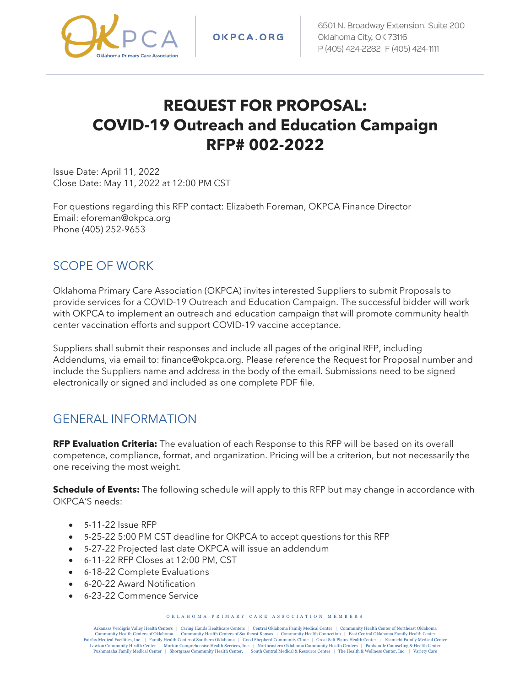

OKPCA.ORG

# **REQUEST FOR PROPOSAL: COVID-19 Outreach and Education Campaign RFP# 002-2022**

Issue Date: April 11, 2022 Close Date: May 11, 2022 at 12:00 PM CST

For questions regarding this RFP contact: Elizabeth Foreman, OKPCA Finance Director Email: eforeman@okpca.org Phone (405) 252-9653

#### SCOPE OF WORK

Oklahoma Primary Care Association (OKPCA) invites interested Suppliers to submit Proposals to provide services for a COVID-19 Outreach and Education Campaign. The successful bidder will work with OKPCA to implement an outreach and education campaign that will promote community health center vaccination efforts and support COVID-19 vaccine acceptance.

Suppliers shall submit their responses and include all pages of the original RFP, including Addendums, via email to: finance@okpca.org. Please reference the Request for Proposal number and include the Suppliers name and address in the body of the email. Submissions need to be signed electronically or signed and included as one complete PDF file.

#### GENERAL INFORMATION

**RFP Evaluation Criteria:** The evaluation of each Response to this RFP will be based on its overall competence, compliance, format, and organization. Pricing will be a criterion, but not necessarily the one receiving the most weight.

**Schedule of Events:** The following schedule will apply to this RFP but may change in accordance with OKPCA'S needs:

- 5-11-22 Issue RFP
- 5-25-22 5:00 PM CST deadline for OKPCA to accept questions for this RFP
- 5-27-22 Projected last date OKPCA will issue an addendum
- 6-11-22 RFP Closes at 12:00 PM, CST
- 6-18-22 Complete Evaluations
- 6-20-22 Award Notification
- 6-23-22 Commence Service

O KLAHOMA PRIMARY CARE ASSOCIATION MEMBERS

Arkansas Verdigris Valley Health Centers | Caring Hands Healthcare Centers | Central Oklahoma Family Medical Center | Community Health Center of Northeast Oklahoma<br>Community Health Centers of Oklahoma | Community Health Ce Fairfax Medical Facilities, Inc. | Family Health Center of Southern Oklahoma | Good Shepherd Community Clinic | Great Salt Plains Health Center | Kiamichi Family Medical Center<br>Lawton Community Health Center | Morton Compr Pushmataha Family Medical Center | Shortgrass Community Health Center. | South Central Medical & Resource Center | The Health & Wellness Center, Inc. | Variety Care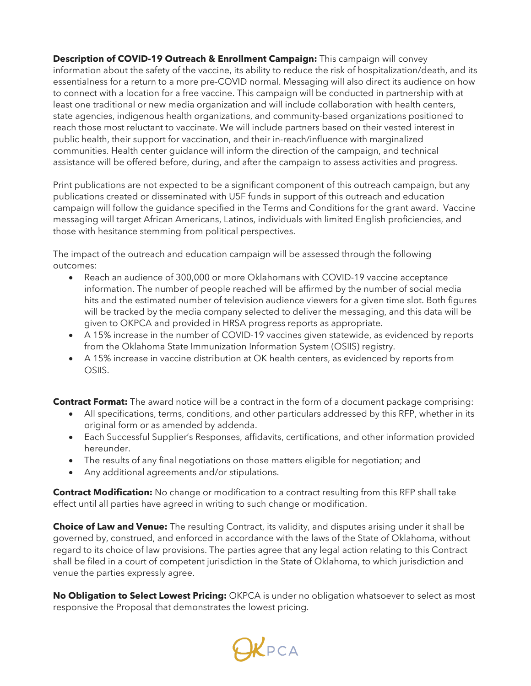**Description of COVID-19 Outreach & Enrollment Campaign:** This campaign will convey information about the safety of the vaccine, its ability to reduce the risk of hospitalization/death, and its essentialness for a return to a more pre-COVID normal. Messaging will also direct its audience on how to connect with a location for a free vaccine. This campaign will be conducted in partnership with at least one traditional or new media organization and will include collaboration with health centers, state agencies, indigenous health organizations, and community-based organizations positioned to reach those most reluctant to vaccinate. We will include partners based on their vested interest in public health, their support for vaccination, and their in-reach/influence with marginalized communities. Health center guidance will inform the direction of the campaign, and technical assistance will be offered before, during, and after the campaign to assess activities and progress.

Print publications are not expected to be a significant component of this outreach campaign, but any publications created or disseminated with U5F funds in support of this outreach and education campaign will follow the guidance specified in the Terms and Conditions for the grant award. Vaccine messaging will target African Americans, Latinos, individuals with limited English proficiencies, and those with hesitance stemming from political perspectives.

The impact of the outreach and education campaign will be assessed through the following outcomes:

- Reach an audience of 300,000 or more Oklahomans with COVID-19 vaccine acceptance information. The number of people reached will be affirmed by the number of social media hits and the estimated number of television audience viewers for a given time slot. Both figures will be tracked by the media company selected to deliver the messaging, and this data will be given to OKPCA and provided in HRSA progress reports as appropriate.
- A 15% increase in the number of COVID-19 vaccines given statewide, as evidenced by reports from the Oklahoma State Immunization Information System (OSIIS) registry.
- A 15% increase in vaccine distribution at OK health centers, as evidenced by reports from OSIIS.

**Contract Format:** The award notice will be a contract in the form of a document package comprising:

- All specifications, terms, conditions, and other particulars addressed by this RFP, whether in its original form or as amended by addenda.
- Each Successful Supplier's Responses, affidavits, certifications, and other information provided hereunder.
- The results of any final negotiations on those matters eligible for negotiation; and
- Any additional agreements and/or stipulations.

**Contract Modification:** No change or modification to a contract resulting from this RFP shall take effect until all parties have agreed in writing to such change or modification.

**Choice of Law and Venue:** The resulting Contract, its validity, and disputes arising under it shall be governed by, construed, and enforced in accordance with the laws of the State of Oklahoma, without regard to its choice of law provisions. The parties agree that any legal action relating to this Contract shall be filed in a court of competent jurisdiction in the State of Oklahoma, to which jurisdiction and venue the parties expressly agree.

**No Obligation to Select Lowest Pricing:** OKPCA is under no obligation whatsoever to select as most responsive the Proposal that demonstrates the lowest pricing.

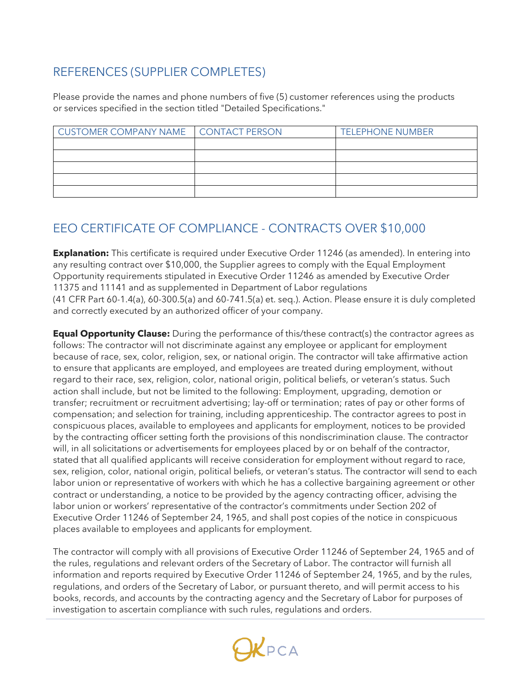## REFERENCES (SUPPLIER COMPLETES)

Please provide the names and phone numbers of five (5) customer references using the products or services specified in the section titled "Detailed Specifications."

| CUSTOMER COMPANY NAME   CONTACT PERSON | <b>TELEPHONE NUMBER</b> |
|----------------------------------------|-------------------------|
|                                        |                         |
|                                        |                         |
|                                        |                         |
|                                        |                         |
|                                        |                         |

## EEO CERTIFICATE OF COMPLIANCE - CONTRACTS OVER \$10,000

**Explanation:** This certificate is required under Executive Order 11246 (as amended). In entering into any resulting contract over \$10,000, the Supplier agrees to comply with the Equal Employment Opportunity requirements stipulated in Executive Order 11246 as amended by Executive Order 11375 and 11141 and as supplemented in Department of Labor regulations (41 CFR Part 60-1.4(a), 60-300.5(a) and 60-741.5(a) et. seq.). Action. Please ensure it is duly completed and correctly executed by an authorized officer of your company.

**Equal Opportunity Clause:** During the performance of this/these contract(s) the contractor agrees as follows: The contractor will not discriminate against any employee or applicant for employment because of race, sex, color, religion, sex, or national origin. The contractor will take affirmative action to ensure that applicants are employed, and employees are treated during employment, without regard to their race, sex, religion, color, national origin, political beliefs, or veteran's status. Such action shall include, but not be limited to the following: Employment, upgrading, demotion or transfer; recruitment or recruitment advertising; lay-off or termination; rates of pay or other forms of compensation; and selection for training, including apprenticeship. The contractor agrees to post in conspicuous places, available to employees and applicants for employment, notices to be provided by the contracting officer setting forth the provisions of this nondiscrimination clause. The contractor will, in all solicitations or advertisements for employees placed by or on behalf of the contractor, stated that all qualified applicants will receive consideration for employment without regard to race, sex, religion, color, national origin, political beliefs, or veteran's status. The contractor will send to each labor union or representative of workers with which he has a collective bargaining agreement or other contract or understanding, a notice to be provided by the agency contracting officer, advising the labor union or workers' representative of the contractor's commitments under Section 202 of Executive Order 11246 of September 24, 1965, and shall post copies of the notice in conspicuous places available to employees and applicants for employment.

The contractor will comply with all provisions of Executive Order 11246 of September 24, 1965 and of the rules, regulations and relevant orders of the Secretary of Labor. The contractor will furnish all information and reports required by Executive Order 11246 of September 24, 1965, and by the rules, regulations, and orders of the Secretary of Labor, or pursuant thereto, and will permit access to his books, records, and accounts by the contracting agency and the Secretary of Labor for purposes of investigation to ascertain compliance with such rules, regulations and orders.

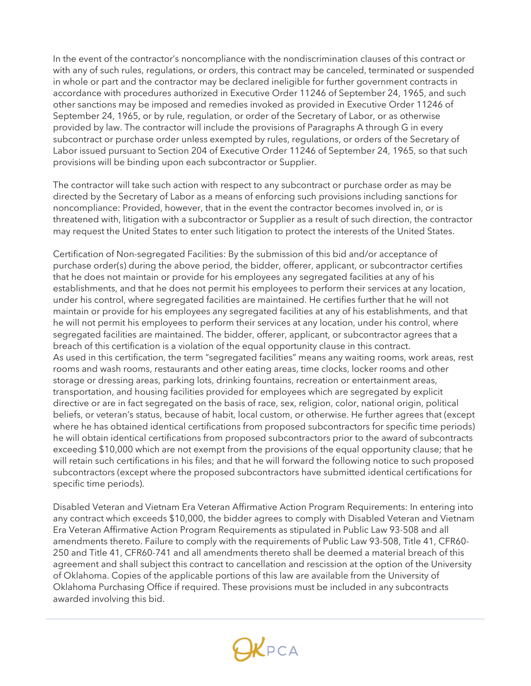In the event of the contractor's noncompliance with the nondiscrimination clauses of this contract or with any of such rules, regulations, or orders, this contract may be canceled, terminated or suspended in whole or part and the contractor may be declared ineligible for further government contracts in accordance with procedures authorized in Executive Order 11246 of September 24, 1965, and such other sanctions may be imposed and remedies invoked as provided in Executive Order 11246 of September 24, 1965, or by rule, regulation, or order of the Secretary of Labor, or as otherwise provided by law. The contractor will include the provisions of Paragraphs A through G in every subcontract or purchase order unless exempted by rules, regulations, or orders of the Secretary of Labor issued pursuant to Section 204 of Executive Order 11246 of September 24, 1965, so that such provisions will be binding upon each subcontractor or Supplier.

The contractor will take such action with respect to any subcontract or purchase order as may be directed by the Secretary of Labor as a means of enforcing such provisions including sanctions for noncompliance: Provided, however, that in the event the contractor becomes involved in, or is threatened with, litigation with a subcontractor or Supplier as a result of such direction, the contractor may request the United States to enter such litigation to protect the interests of the United States.

Certification of Non-segregated Facilities: By the submission of this bid and/or acceptance of purchase order(s) during the above period, the bidder, offerer, applicant, or subcontractor certifies that he does not maintain or provide for his employees any segregated facilities at any of his establishments, and that he does not permit his employees to perform their services at any location, under his control, where segregated facilities are maintained. He certifies further that he will not maintain or provide for his employees any segregated facilities at any of his establishments, and that he will not permit his employees to perform their services at any location, under his control, where segregated facilities are maintained. The bidder, offerer, applicant, or subcontractor agrees that a breach of this certification is a violation of the equal opportunity clause in this contract. As used in this certification, the term "segregated facilities" means any waiting rooms, work areas, rest rooms and wash rooms, restaurants and other eating areas, time clocks, locker rooms and other storage or dressing areas, parking lots, drinking fountains, recreation or entertainment areas, transportation, and housing facilities provided for employees which are segregated by explicit directive or are in fact segregated on the basis of race, sex, religion, color, national origin, political beliefs, or veteran's status, because of habit, local custom, or otherwise. He further agrees that (except where he has obtained identical certifications from proposed subcontractors for specific time periods) he will obtain identical certifications from proposed subcontractors prior to the award of subcontracts exceeding \$10,000 which are not exempt from the provisions of the equal opportunity clause; that he will retain such certifications in his files; and that he will forward the following notice to such proposed subcontractors (except where the proposed subcontractors have submitted identical certifications for specific time periods).

Disabled Veteran and Vietnam Era Veteran Affirmative Action Program Requirements: In entering into any contract which exceeds \$10,000, the bidder agrees to comply with Disabled Veteran and Vietnam Era Veteran Affirmative Action Program Requirements as stipulated in Public Law 93-508 and all amendments thereto. Failure to comply with the requirements of Public Law 93-508, Title 41, CFR60- 250 and Title 41, CFR60-741 and all amendments thereto shall be deemed a material breach of this agreement and shall subject this contract to cancellation and rescission at the option of the University of Oklahoma. Copies of the applicable portions of this law are available from the University of Oklahoma Purchasing Office if required. These provisions must be included in any subcontracts awarded involving this bid.